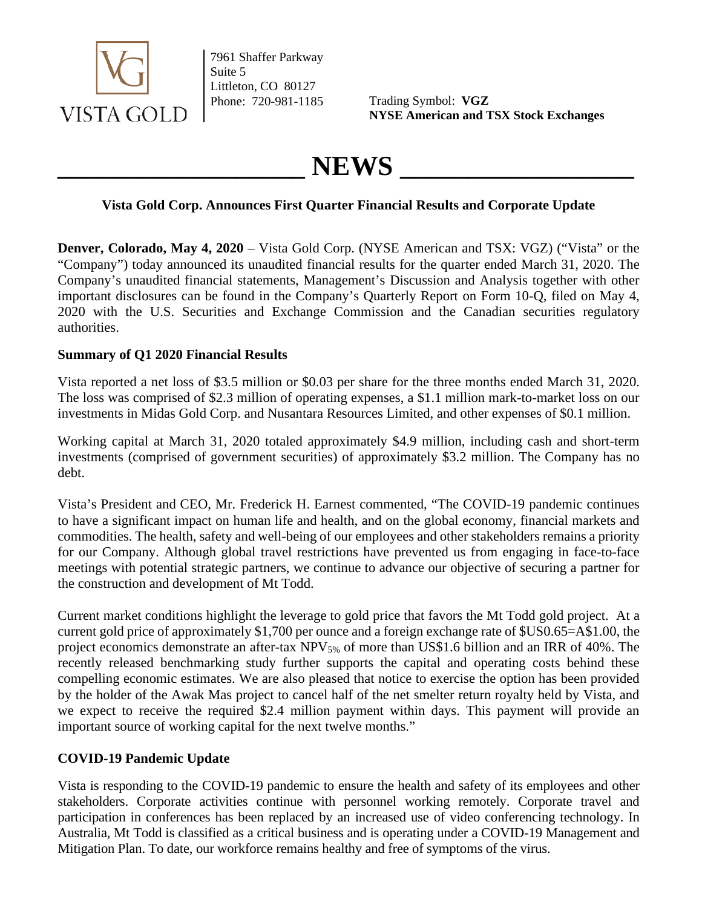

7961 Shaffer Parkway Suite 5 Littleton, CO 80127

Phone: 720-981-1185 Trading Symbol: **VGZ NYSE American and TSX Stock Exchanges**

# $NEWS$

## **Vista Gold Corp. Announces First Quarter Financial Results and Corporate Update**

**Denver, Colorado, May 4, 2020** – Vista Gold Corp. (NYSE American and TSX: VGZ) ("Vista" or the "Company") today announced its unaudited financial results for the quarter ended March 31, 2020. The Company's unaudited financial statements, Management's Discussion and Analysis together with other important disclosures can be found in the Company's Quarterly Report on Form 10-Q, filed on May 4, 2020 with the U.S. Securities and Exchange Commission and the Canadian securities regulatory authorities.

## **Summary of Q1 2020 Financial Results**

Vista reported a net loss of \$3.5 million or \$0.03 per share for the three months ended March 31, 2020. The loss was comprised of \$2.3 million of operating expenses, a \$1.1 million mark-to-market loss on our investments in Midas Gold Corp. and Nusantara Resources Limited, and other expenses of \$0.1 million.

Working capital at March 31, 2020 totaled approximately \$4.9 million, including cash and short-term investments (comprised of government securities) of approximately \$3.2 million. The Company has no debt.

Vista's President and CEO, Mr. Frederick H. Earnest commented, "The COVID-19 pandemic continues to have a significant impact on human life and health, and on the global economy, financial markets and commodities. The health, safety and well-being of our employees and other stakeholders remains a priority for our Company. Although global travel restrictions have prevented us from engaging in face-to-face meetings with potential strategic partners, we continue to advance our objective of securing a partner for the construction and development of Mt Todd.

Current market conditions highlight the leverage to gold price that favors the Mt Todd gold project. At a current gold price of approximately \$1,700 per ounce and a foreign exchange rate of \$US0.65=A\$1.00, the project economics demonstrate an after-tax NPV<sub>5%</sub> of more than US\$1.6 billion and an IRR of 40%. The recently released benchmarking study further supports the capital and operating costs behind these compelling economic estimates. We are also pleased that notice to exercise the option has been provided by the holder of the Awak Mas project to cancel half of the net smelter return royalty held by Vista, and we expect to receive the required \$2.4 million payment within days. This payment will provide an important source of working capital for the next twelve months."

## **COVID-19 Pandemic Update**

Vista is responding to the COVID-19 pandemic to ensure the health and safety of its employees and other stakeholders. Corporate activities continue with personnel working remotely. Corporate travel and participation in conferences has been replaced by an increased use of video conferencing technology. In Australia, Mt Todd is classified as a critical business and is operating under a COVID-19 Management and Mitigation Plan. To date, our workforce remains healthy and free of symptoms of the virus.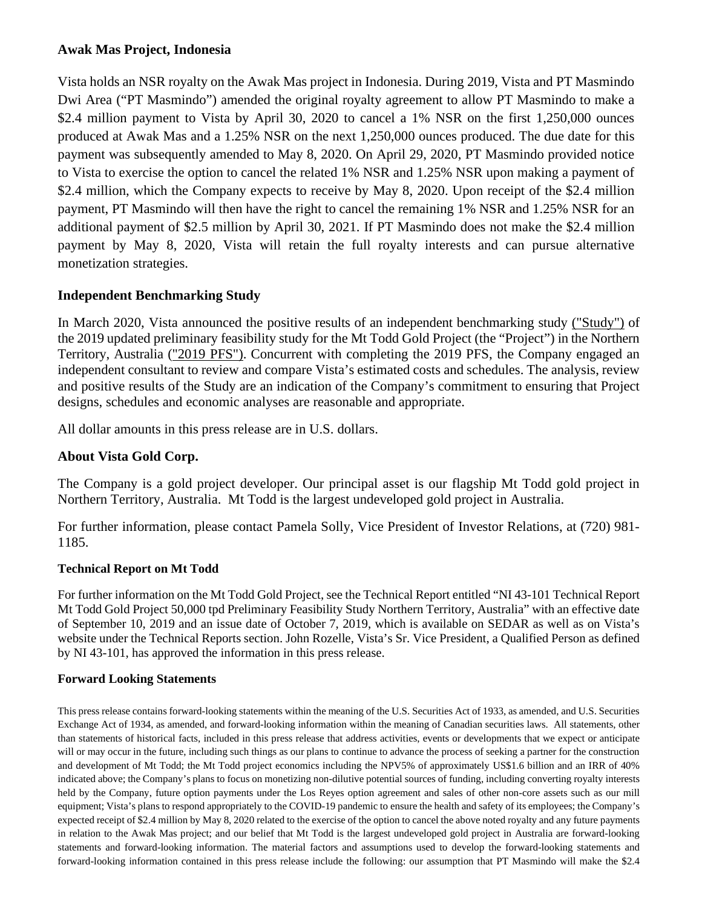#### **Awak Mas Project, Indonesia**

Vista holds an NSR royalty on the Awak Mas project in Indonesia. During 2019, Vista and PT Masmindo Dwi Area ("PT Masmindo") amended the original royalty agreement to allow PT Masmindo to make a \$2.4 million payment to Vista by April 30, 2020 to cancel a 1% NSR on the first 1,250,000 ounces produced at Awak Mas and a 1.25% NSR on the next 1,250,000 ounces produced. The due date for this payment was subsequently amended to May 8, 2020. On April 29, 2020, PT Masmindo provided notice to Vista to exercise the option to cancel the related 1% NSR and 1.25% NSR upon making a payment of \$2.4 million, which the Company expects to receive by May 8, 2020. Upon receipt of the \$2.4 million payment, PT Masmindo will then have the right to cancel the remaining 1% NSR and 1.25% NSR for an additional payment of \$2.5 million by April 30, 2021. If PT Masmindo does not make the \$2.4 million payment by May 8, 2020, Vista will retain the full royalty interests and can pursue alternative monetization strategies.

# **Independent Benchmarking Study**

In March 2020, Vista announced the positive results of an independent benchmarking study [\("Study"\)](https://www.vistagold.com/images/pdf/technical_reports/2019/Mt_Todd_Benchmarking_Study_-_Rev_3.2_Public.pdf) of the 2019 updated preliminary feasibility study for the Mt Todd Gold Project (the "Project") in the Northern Territory, Australia [\("2019 PFS"\).](https://www.vistagold.com/images/pdf/technical_reports/2019/NI-43-101-Report-Vista-Gold-Mt-Todd-PFS-2019_v16-tls-100719.pdf) Concurrent with completing the 2019 PFS, the Company engaged an independent consultant to review and compare Vista's estimated costs and schedules. The analysis, review and positive results of the Study are an indication of the Company's commitment to ensuring that Project designs, schedules and economic analyses are reasonable and appropriate.

All dollar amounts in this press release are in U.S. dollars.

## **About Vista Gold Corp.**

The Company is a gold project developer. Our principal asset is our flagship Mt Todd gold project in Northern Territory, Australia. Mt Todd is the largest undeveloped gold project in Australia.

For further information, please contact Pamela Solly, Vice President of Investor Relations, at (720) 981- 1185.

#### **Technical Report on Mt Todd**

For further information on the Mt Todd Gold Project, see the Technical Report entitled "NI 43-101 Technical Report Mt Todd Gold Project 50,000 tpd Preliminary Feasibility Study Northern Territory, Australia" with an effective date of September 10, 2019 and an issue date of October 7, 2019, which is available on SEDAR as well as on Vista's website under the Technical Reports section. John Rozelle, Vista's Sr. Vice President, a Qualified Person as defined by NI 43-101, has approved the information in this press release.

#### **Forward Looking Statements**

This press release contains forward-looking statements within the meaning of the U.S. Securities Act of 1933, as amended, and U.S. Securities Exchange Act of 1934, as amended, and forward-looking information within the meaning of Canadian securities laws. All statements, other than statements of historical facts, included in this press release that address activities, events or developments that we expect or anticipate will or may occur in the future, including such things as our plans to continue to advance the process of seeking a partner for the construction and development of Mt Todd; the Mt Todd project economics including the NPV5% of approximately US\$1.6 billion and an IRR of 40% indicated above; the Company's plans to focus on monetizing non-dilutive potential sources of funding, including converting royalty interests held by the Company, future option payments under the Los Reyes option agreement and sales of other non-core assets such as our mill equipment; Vista's plans to respond appropriately to the COVID-19 pandemic to ensure the health and safety of its employees; the Company's expected receipt of \$2.4 million by May 8, 2020 related to the exercise of the option to cancel the above noted royalty and any future payments in relation to the Awak Mas project; and our belief that Mt Todd is the largest undeveloped gold project in Australia are forward-looking statements and forward-looking information. The material factors and assumptions used to develop the forward-looking statements and forward-looking information contained in this press release include the following: our assumption that PT Masmindo will make the \$2.4